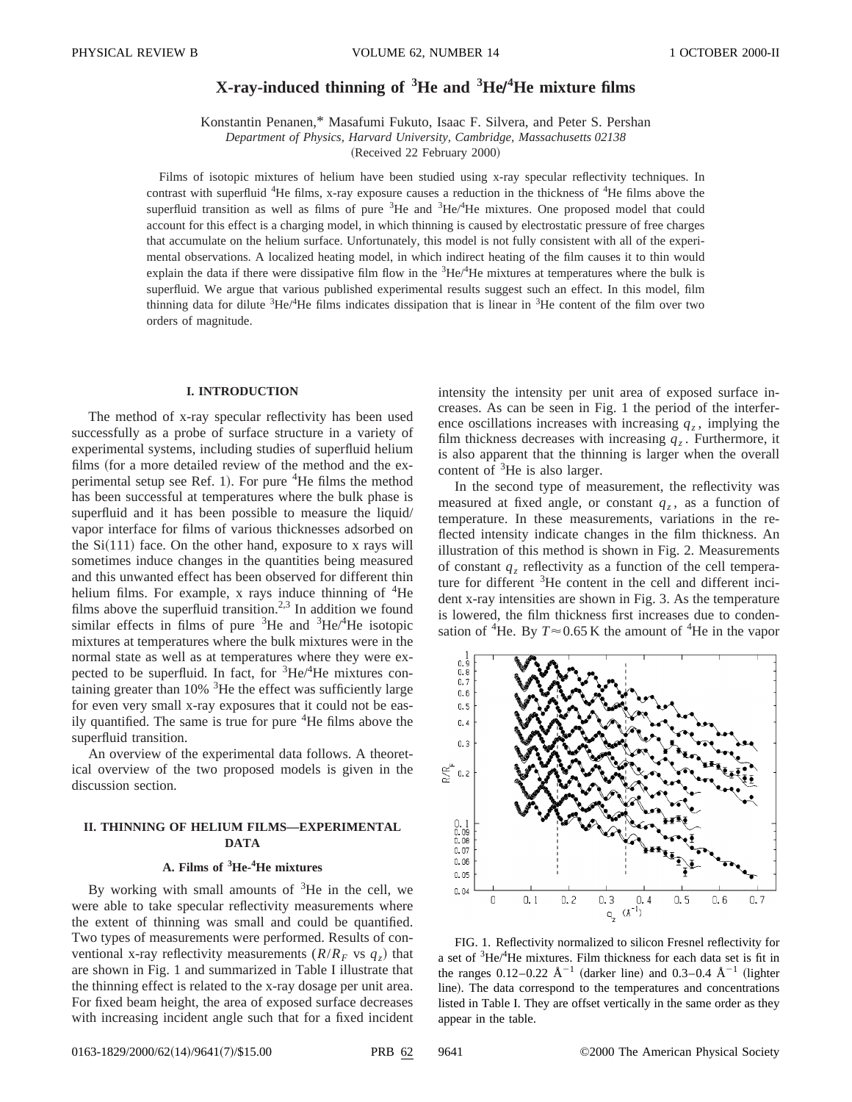# **X-ray-induced thinning of <sup>3</sup> He and <sup>3</sup> HeÕ 4 He mixture films**

Konstantin Penanen,\* Masafumi Fukuto, Isaac F. Silvera, and Peter S. Pershan

*Department of Physics, Harvard University, Cambridge, Massachusetts 02138*

(Received 22 February 2000)

Films of isotopic mixtures of helium have been studied using x-ray specular reflectivity techniques. In contrast with superfluid <sup>4</sup>He films, x-ray exposure causes a reduction in the thickness of <sup>4</sup>He films above the superfluid transition as well as films of pure  ${}^{3}$ He and  ${}^{3}$ He/ ${}^{4}$ He mixtures. One proposed model that could account for this effect is a charging model, in which thinning is caused by electrostatic pressure of free charges that accumulate on the helium surface. Unfortunately, this model is not fully consistent with all of the experimental observations. A localized heating model, in which indirect heating of the film causes it to thin would explain the data if there were dissipative film flow in the  ${}^{3}He/{}^{4}He$  mixtures at temperatures where the bulk is superfluid. We argue that various published experimental results suggest such an effect. In this model, film thinning data for dilute <sup>3</sup>He/<sup>4</sup>He films indicates dissipation that is linear in <sup>3</sup>He content of the film over two orders of magnitude.

#### **I. INTRODUCTION**

The method of x-ray specular reflectivity has been used successfully as a probe of surface structure in a variety of experimental systems, including studies of superfluid helium films (for a more detailed review of the method and the experimental setup see Ref. 1). For pure  ${}^{4}$ He films the method has been successful at temperatures where the bulk phase is superfluid and it has been possible to measure the liquid/ vapor interface for films of various thicknesses adsorbed on the  $Si(111)$  face. On the other hand, exposure to x rays will sometimes induce changes in the quantities being measured and this unwanted effect has been observed for different thin helium films. For example, x rays induce thinning of <sup>4</sup>He films above the superfluid transition.<sup>2,3</sup> In addition we found similar effects in films of pure  ${}^{3}$ He and  ${}^{3}$ He/<sup>4</sup>He isotopic mixtures at temperatures where the bulk mixtures were in the normal state as well as at temperatures where they were expected to be superfluid. In fact, for <sup>3</sup>He/<sup>4</sup>He mixtures containing greater than 10% <sup>3</sup>He the effect was sufficiently large for even very small x-ray exposures that it could not be easily quantified. The same is true for pure  ${}^{4}$ He films above the superfluid transition.

An overview of the experimental data follows. A theoretical overview of the two proposed models is given in the discussion section.

# **II. THINNING OF HELIUM FILMS—EXPERIMENTAL DATA**

## **A. Films of <sup>3</sup> He-<sup>4</sup> He mixtures**

By working with small amounts of  $3$ He in the cell, we were able to take specular reflectivity measurements where the extent of thinning was small and could be quantified. Two types of measurements were performed. Results of conventional x-ray reflectivity measurements  $(R/R_F \text{ vs } q_z)$  that are shown in Fig. 1 and summarized in Table I illustrate that the thinning effect is related to the x-ray dosage per unit area. For fixed beam height, the area of exposed surface decreases with increasing incident angle such that for a fixed incident

intensity the intensity per unit area of exposed surface increases. As can be seen in Fig. 1 the period of the interference oscillations increases with increasing  $q_z$ , implying the film thickness decreases with increasing  $q<sub>z</sub>$ . Furthermore, it is also apparent that the thinning is larger when the overall content of <sup>3</sup>He is also larger.

In the second type of measurement, the reflectivity was measured at fixed angle, or constant  $q_z$ , as a function of temperature. In these measurements, variations in the reflected intensity indicate changes in the film thickness. An illustration of this method is shown in Fig. 2. Measurements of constant  $q_z$  reflectivity as a function of the cell temperature for different <sup>3</sup>He content in the cell and different incident x-ray intensities are shown in Fig. 3. As the temperature is lowered, the film thickness first increases due to condensation of <sup>4</sup>He. By  $T \approx 0.65$  K the amount of <sup>4</sup>He in the vapor



FIG. 1. Reflectivity normalized to silicon Fresnel reflectivity for a set of <sup>3</sup>He/<sup>4</sup>He mixtures. Film thickness for each data set is fit in the ranges 0.12–0.22  $\AA^{-1}$  (darker line) and 0.3–0.4  $\AA^{-1}$  (lighter line). The data correspond to the temperatures and concentrations listed in Table I. They are offset vertically in the same order as they appear in the table.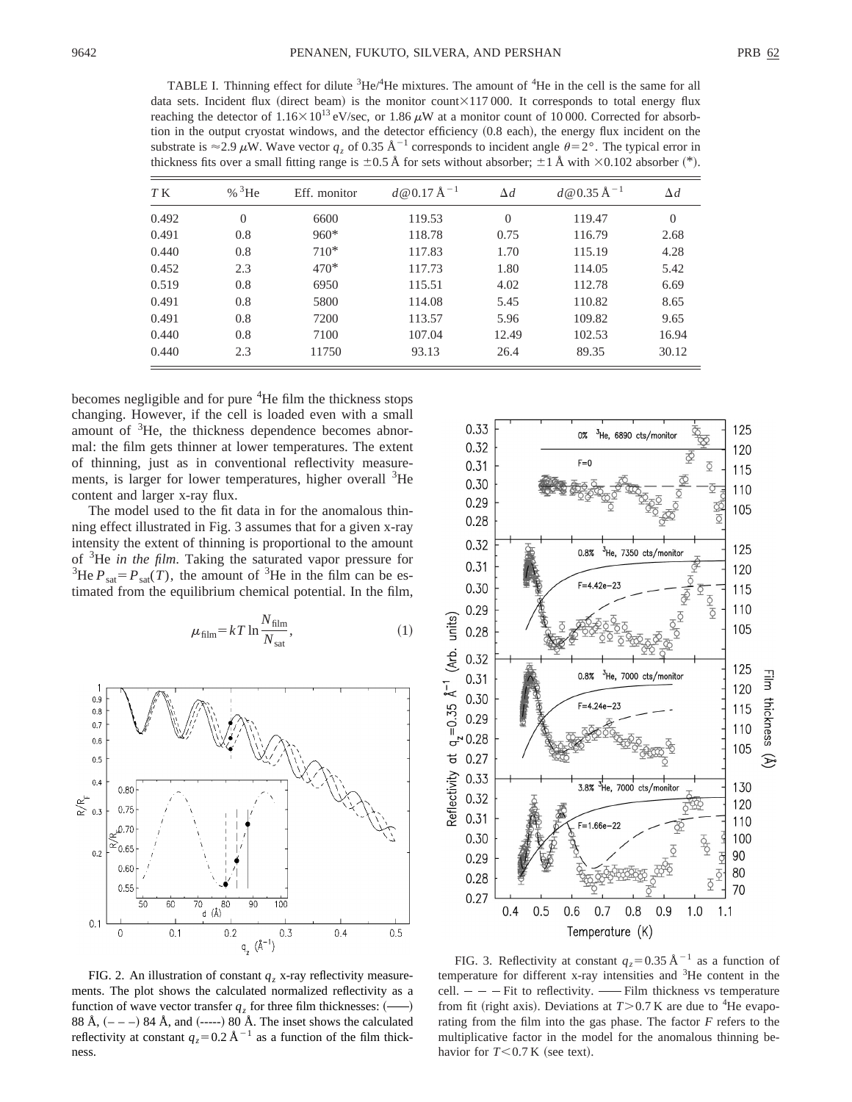TABLE I. Thinning effect for dilute  ${}^{3}He/{}^{4}He$  mixtures. The amount of  ${}^{4}He$  in the cell is the same for all data sets. Incident flux (direct beam) is the monitor count $\times$ 117 000. It corresponds to total energy flux reaching the detector of  $1.16\times10^{13}$  eV/sec, or 1.86  $\mu$ W at a monitor count of 10 000. Corrected for absorbtion in the output cryostat windows, and the detector efficiency (0.8 each), the energy flux incident on the substrate is  $\approx$ 2.9  $\mu$ W. Wave vector  $q_z$  of 0.35 Å<sup>-1</sup> corresponds to incident angle  $\theta$ =2°. The typical error in thickness fits over a small fitting range is  $\pm 0.5 \text{ Å}$  for sets without absorber;  $\pm 1 \text{ Å}$  with  $\times 0.102$  absorber (\*).

| T K   | % ${}^{3}$ He  | Eff. monitor | $d \, \textcircled{a} \, 0.17 \, \text{\AA}^{-1}$ | $\Delta d$ | $d \, \textcircled{a} \, 0.35 \, \text{\AA}^{-1}$ | $\Delta d$     |
|-------|----------------|--------------|---------------------------------------------------|------------|---------------------------------------------------|----------------|
| 0.492 | $\overline{0}$ | 6600         | 119.53                                            | $\theta$   | 119.47                                            | $\overline{0}$ |
| 0.491 | 0.8            | $960*$       | 118.78                                            | 0.75       | 116.79                                            | 2.68           |
| 0.440 | 0.8            | $710*$       | 117.83                                            | 1.70       | 115.19                                            | 4.28           |
| 0.452 | 2.3            | $470*$       | 117.73                                            | 1.80       | 114.05                                            | 5.42           |
| 0.519 | 0.8            | 6950         | 115.51                                            | 4.02       | 112.78                                            | 6.69           |
| 0.491 | 0.8            | 5800         | 114.08                                            | 5.45       | 110.82                                            | 8.65           |
| 0.491 | 0.8            | 7200         | 113.57                                            | 5.96       | 109.82                                            | 9.65           |
| 0.440 | 0.8            | 7100         | 107.04                                            | 12.49      | 102.53                                            | 16.94          |
| 0.440 | 2.3            | 11750        | 93.13                                             | 26.4       | 89.35                                             | 30.12          |

becomes negligible and for pure <sup>4</sup>He film the thickness stops changing. However, if the cell is loaded even with a small amount of <sup>3</sup>He, the thickness dependence becomes abnormal: the film gets thinner at lower temperatures. The extent of thinning, just as in conventional reflectivity measurements, is larger for lower temperatures, higher overall <sup>3</sup>He content and larger x-ray flux.

The model used to the fit data in for the anomalous thinning effect illustrated in Fig. 3 assumes that for a given x-ray intensity the extent of thinning is proportional to the amount of <sup>3</sup> He *in the film*. Taking the saturated vapor pressure for <sup>3</sup>He  $P_{\text{sat}} = P_{\text{sat}}(T)$ , the amount of <sup>3</sup>He in the film can be estimated from the equilibrium chemical potential. In the film,

$$
\mu_{\text{film}} = kT \ln \frac{N_{\text{film}}}{N_{\text{sat}}},\tag{1}
$$



FIG. 2. An illustration of constant  $q_z$  x-ray reflectivity measurements. The plot shows the calculated normalized reflectivity as a function of wave vector transfer  $q_z$  for three film thicknesses:  $(\_\_)$ 88 Å,  $(- - -)$  84 Å, and  $(---)$  80 Å. The inset shows the calculated reflectivity at constant  $q_z=0.2$  Å<sup>-1</sup> as a function of the film thickness.



FIG. 3. Reflectivity at constant  $q_z = 0.35 \text{ Å}^{-1}$  as a function of temperature for different x-ray intensities and <sup>3</sup>He content in the cell.  $-$  – Fit to reflectivity.  $-$  Film thickness vs temperature from fit (right axis). Deviations at  $T > 0.7$  K are due to <sup>4</sup>He evaporating from the film into the gas phase. The factor *F* refers to the multiplicative factor in the model for the anomalous thinning behavior for  $T < 0.7$  K (see text).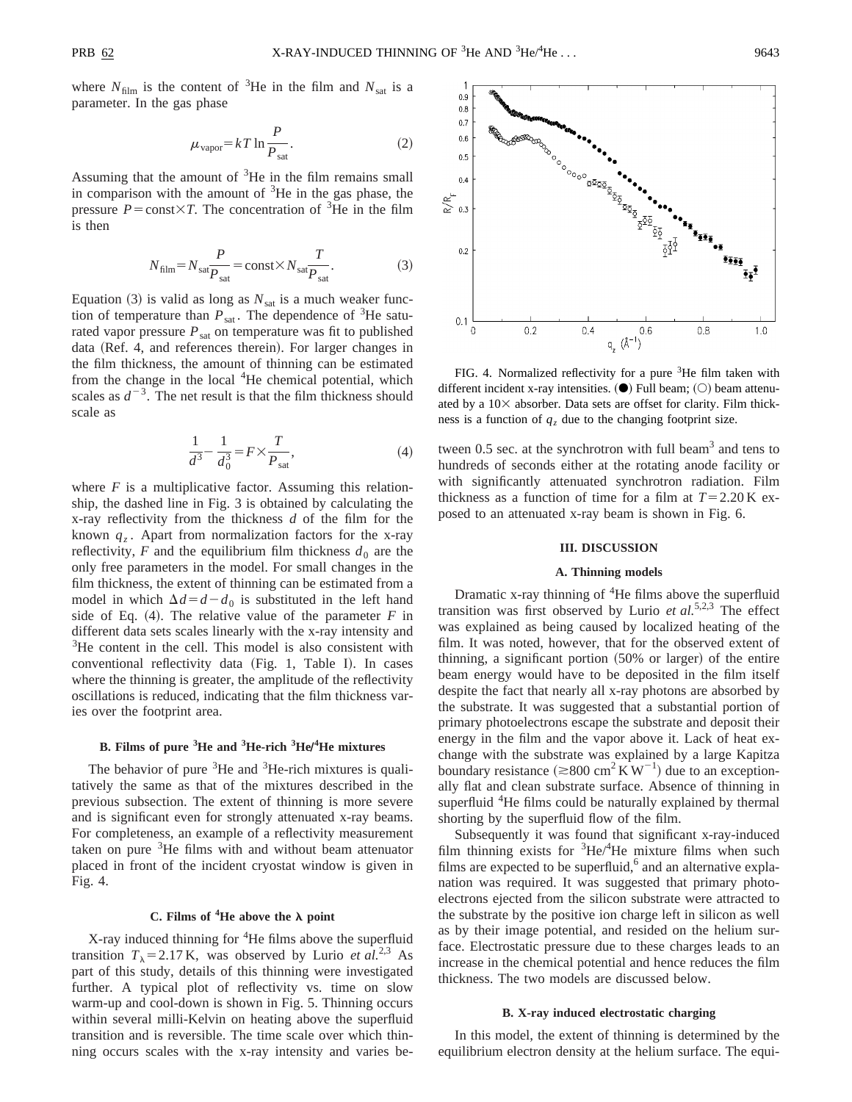where  $N_{\text{film}}$  is the content of <sup>3</sup>He in the film and  $N_{\text{sat}}$  is a parameter. In the gas phase

$$
\mu_{\text{vapor}} = kT \ln \frac{P}{P_{\text{sat}}}.\tag{2}
$$

Assuming that the amount of <sup>3</sup>He in the film remains small in comparison with the amount of  $3$ He in the gas phase, the pressure  $P = \text{const} \times T$ . The concentration of <sup>3</sup>He in the film is then

$$
N_{\text{film}} = N_{\text{sat}} \frac{P}{P_{\text{sat}}} = \text{const} \times N_{\text{sat}} \frac{T}{P_{\text{sat}}}.
$$
 (3)

Equation  $(3)$  is valid as long as  $N_{\text{sat}}$  is a much weaker function of temperature than  $P_{\text{sat}}$ . The dependence of <sup>3</sup>He saturated vapor pressure  $P_{\text{sat}}$  on temperature was fit to published data (Ref. 4, and references therein). For larger changes in the film thickness, the amount of thinning can be estimated from the change in the local <sup>4</sup>He chemical potential, which scales as  $d^{-3}$ . The net result is that the film thickness should scale as

$$
\frac{1}{d^3} - \frac{1}{d_0^3} = F \times \frac{T}{P_{\text{sat}}},
$$
\n(4)

where *F* is a multiplicative factor. Assuming this relationship, the dashed line in Fig. 3 is obtained by calculating the x-ray reflectivity from the thickness *d* of the film for the known  $q_z$ . Apart from normalization factors for the x-ray reflectivity,  $F$  and the equilibrium film thickness  $d_0$  are the only free parameters in the model. For small changes in the film thickness, the extent of thinning can be estimated from a model in which  $\Delta d = d - d_0$  is substituted in the left hand side of Eq.  $(4)$ . The relative value of the parameter *F* in different data sets scales linearly with the x-ray intensity and <sup>3</sup>He content in the cell. This model is also consistent with conventional reflectivity data (Fig. 1, Table I). In cases where the thinning is greater, the amplitude of the reflectivity oscillations is reduced, indicating that the film thickness varies over the footprint area.

# B. Films of pure <sup>3</sup>He and <sup>3</sup>He-rich <sup>3</sup>He<sup>/4</sup>He mixtures

The behavior of pure  $3$ He and  $3$ He-rich mixtures is qualitatively the same as that of the mixtures described in the previous subsection. The extent of thinning is more severe and is significant even for strongly attenuated x-ray beams. For completeness, an example of a reflectivity measurement taken on pure  ${}^{3}$ He films with and without beam attenuator placed in front of the incident cryostat window is given in Fig. 4.

# **C.** Films of  ${}^4$ **He above the**  $\lambda$  point

X-ray induced thinning for <sup>4</sup>He films above the superfluid transition  $T_{\lambda}$ =2.17 K, was observed by Lurio *et al.*<sup>2,3</sup> As part of this study, details of this thinning were investigated further. A typical plot of reflectivity vs. time on slow warm-up and cool-down is shown in Fig. 5. Thinning occurs within several milli-Kelvin on heating above the superfluid transition and is reversible. The time scale over which thinning occurs scales with the x-ray intensity and varies be-



FIG. 4. Normalized reflectivity for a pure  ${}^{3}$ He film taken with different incident x-ray intensities.  $(\bullet)$  Full beam;  $(\circ)$  beam attenuated by a  $10\times$  absorber. Data sets are offset for clarity. Film thickness is a function of  $q<sub>z</sub>$  due to the changing footprint size.

tween  $0.5$  sec. at the synchrotron with full beam<sup>3</sup> and tens to hundreds of seconds either at the rotating anode facility or with significantly attenuated synchrotron radiation. Film thickness as a function of time for a film at  $T=2.20 \text{ K}$  exposed to an attenuated x-ray beam is shown in Fig. 6.

#### **III. DISCUSSION**

#### **A. Thinning models**

Dramatic x-ray thinning of <sup>4</sup>He films above the superfluid transition was first observed by Lurio *et al.*5,2,3 The effect was explained as being caused by localized heating of the film. It was noted, however, that for the observed extent of thinning, a significant portion  $(50\% \text{ or larger})$  of the entire beam energy would have to be deposited in the film itself despite the fact that nearly all x-ray photons are absorbed by the substrate. It was suggested that a substantial portion of primary photoelectrons escape the substrate and deposit their energy in the film and the vapor above it. Lack of heat exchange with the substrate was explained by a large Kapitza boundary resistance  $(\geq 800 \text{ cm}^2 \text{K W}^{-1})$  due to an exceptionally flat and clean substrate surface. Absence of thinning in superfluid <sup>4</sup>He films could be naturally explained by thermal shorting by the superfluid flow of the film.

Subsequently it was found that significant x-ray-induced film thinning exists for  ${}^{3}$ He/ ${}^{4}$ He mixture films when such films are expected to be superfluid, $6$  and an alternative explanation was required. It was suggested that primary photoelectrons ejected from the silicon substrate were attracted to the substrate by the positive ion charge left in silicon as well as by their image potential, and resided on the helium surface. Electrostatic pressure due to these charges leads to an increase in the chemical potential and hence reduces the film thickness. The two models are discussed below.

#### **B. X-ray induced electrostatic charging**

In this model, the extent of thinning is determined by the equilibrium electron density at the helium surface. The equi-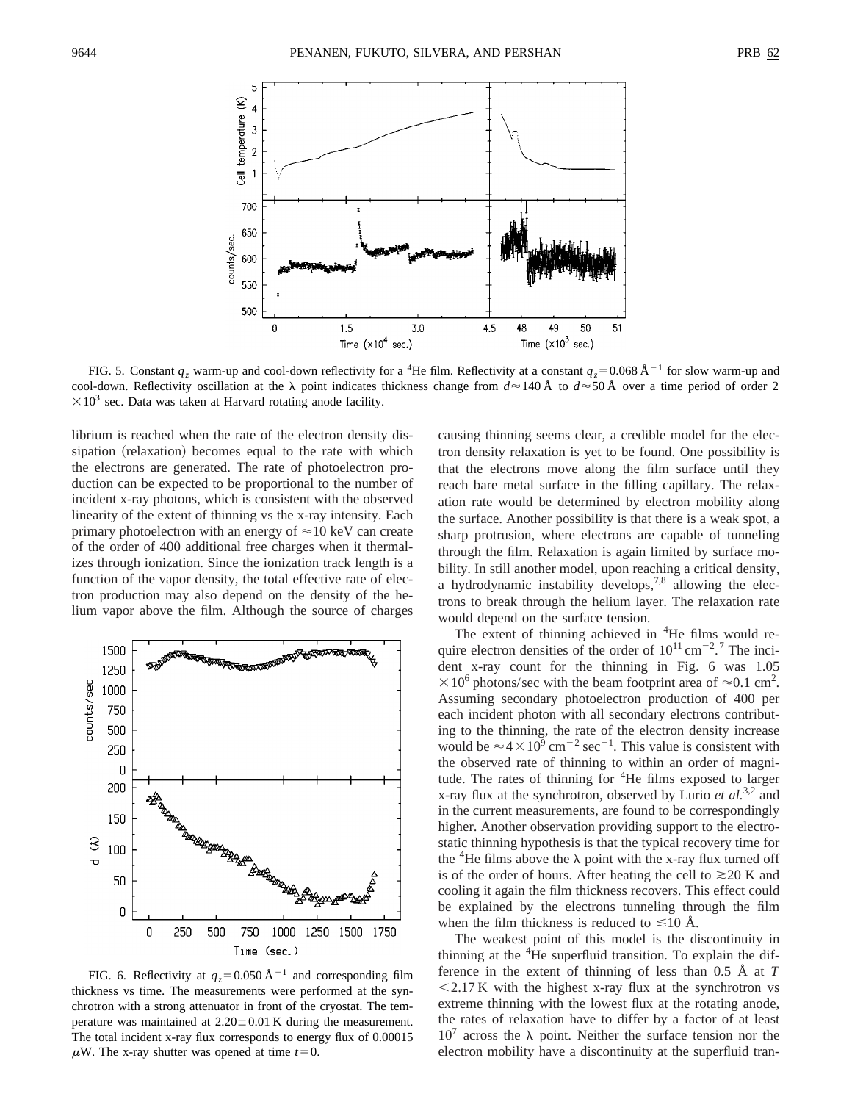

FIG. 5. Constant  $q_z$  warm-up and cool-down reflectivity for a <sup>4</sup>He film. Reflectivity at a constant  $q_z$ =0.068 Å<sup>-1</sup> for slow warm-up and cool-down. Reflectivity oscillation at the  $\lambda$  point indicates thickness change from  $d \approx 140 \text{ Å}$  to  $d \approx 50 \text{ Å}$  over a time period of order 2  $\times 10^3$  sec. Data was taken at Harvard rotating anode facility.

librium is reached when the rate of the electron density dissipation (relaxation) becomes equal to the rate with which the electrons are generated. The rate of photoelectron production can be expected to be proportional to the number of incident x-ray photons, which is consistent with the observed linearity of the extent of thinning vs the x-ray intensity. Each primary photoelectron with an energy of  $\approx$ 10 keV can create of the order of 400 additional free charges when it thermalizes through ionization. Since the ionization track length is a function of the vapor density, the total effective rate of electron production may also depend on the density of the helium vapor above the film. Although the source of charges



FIG. 6. Reflectivity at  $q_z = 0.050 \text{ Å}^{-1}$  and corresponding film thickness vs time. The measurements were performed at the synchrotron with a strong attenuator in front of the cryostat. The temperature was maintained at  $2.20 \pm 0.01$  K during the measurement. The total incident x-ray flux corresponds to energy flux of 0.00015  $\mu$ W. The x-ray shutter was opened at time  $t=0$ .

causing thinning seems clear, a credible model for the electron density relaxation is yet to be found. One possibility is that the electrons move along the film surface until they reach bare metal surface in the filling capillary. The relaxation rate would be determined by electron mobility along the surface. Another possibility is that there is a weak spot, a sharp protrusion, where electrons are capable of tunneling through the film. Relaxation is again limited by surface mobility. In still another model, upon reaching a critical density, a hydrodynamic instability develops,  $7.8$  allowing the electrons to break through the helium layer. The relaxation rate would depend on the surface tension.

The extent of thinning achieved in <sup>4</sup>He films would require electron densities of the order of  $10^{11}$  cm<sup>-2</sup>.<sup>7</sup> The incident x-ray count for the thinning in Fig. 6 was 1.05  $\times$  10<sup>6</sup> photons/sec with the beam footprint area of  $\approx$  0.1 cm<sup>2</sup>. Assuming secondary photoelectron production of 400 per each incident photon with all secondary electrons contributing to the thinning, the rate of the electron density increase would be  $\approx$  4  $\times$  10<sup>9</sup> cm<sup>-2</sup> sec<sup>-1</sup>. This value is consistent with the observed rate of thinning to within an order of magnitude. The rates of thinning for <sup>4</sup>He films exposed to larger x-ray flux at the synchrotron, observed by Lurio *et al.*3,2 and in the current measurements, are found to be correspondingly higher. Another observation providing support to the electrostatic thinning hypothesis is that the typical recovery time for the  ${}^{4}$ He films above the  $\lambda$  point with the x-ray flux turned off is of the order of hours. After heating the cell to  $\geq 20$  K and cooling it again the film thickness recovers. This effect could be explained by the electrons tunneling through the film when the film thickness is reduced to  $\leq 10$  Å.

The weakest point of this model is the discontinuity in thinning at the <sup>4</sup>He superfluid transition. To explain the difference in the extent of thinning of less than 0.5 Å at *T*  $\langle 2.17 K \text{ with the highest x-ray flux at the synchrotron vs.}$ extreme thinning with the lowest flux at the rotating anode, the rates of relaxation have to differ by a factor of at least  $10<sup>7</sup>$  across the  $\lambda$  point. Neither the surface tension nor the electron mobility have a discontinuity at the superfluid tran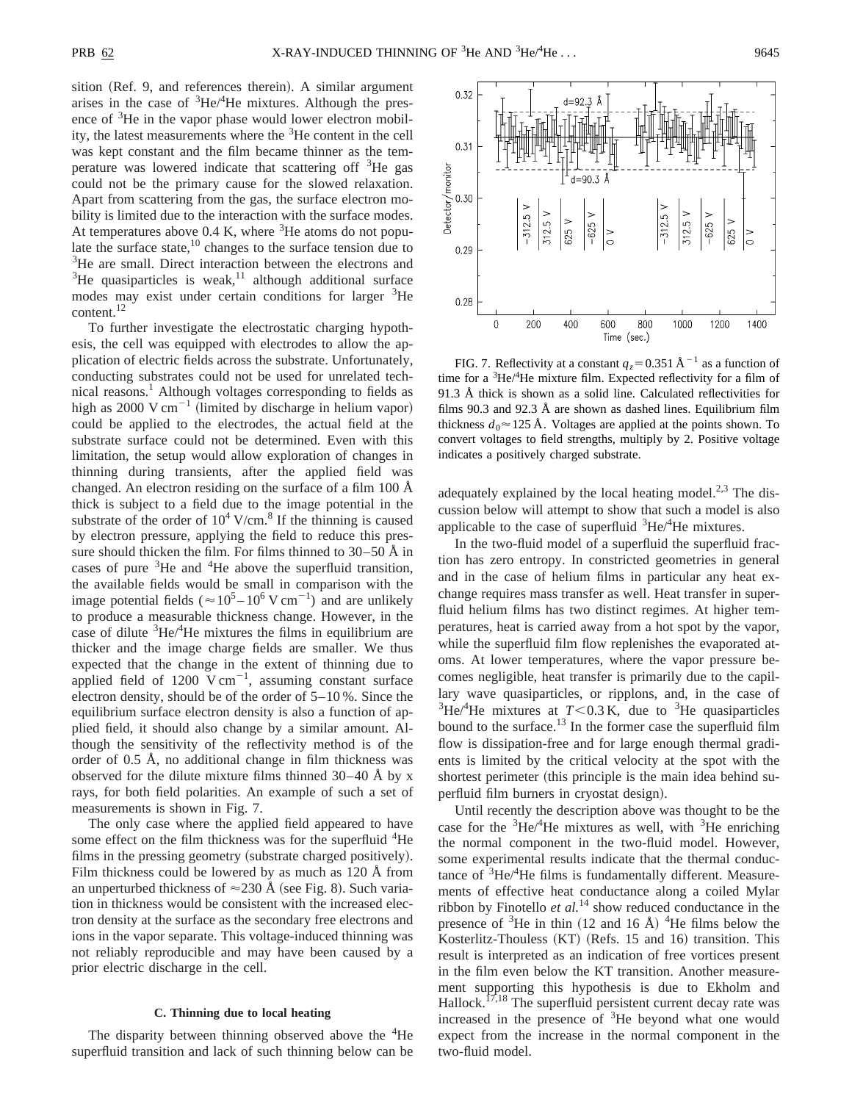sition (Ref. 9, and references therein). A similar argument arises in the case of  ${}^{3}$ He/ ${}^{4}$ He mixtures. Although the presence of <sup>3</sup>He in the vapor phase would lower electron mobility, the latest measurements where the <sup>3</sup>He content in the cell was kept constant and the film became thinner as the temperature was lowered indicate that scattering off <sup>3</sup>He gas could not be the primary cause for the slowed relaxation. Apart from scattering from the gas, the surface electron mobility is limited due to the interaction with the surface modes. At temperatures above  $0.4$  K, where  ${}^{3}$ He atoms do not populate the surface state, $^{10}$  changes to the surface tension due to <sup>3</sup>He are small. Direct interaction between the electrons and  $3$ He quasiparticles is weak,<sup>11</sup> although additional surface modes may exist under certain conditions for larger <sup>3</sup>He content.<sup>12</sup>

To further investigate the electrostatic charging hypothesis, the cell was equipped with electrodes to allow the application of electric fields across the substrate. Unfortunately, conducting substrates could not be used for unrelated technical reasons.<sup>1</sup> Although voltages corresponding to fields as high as  $2000$  V cm<sup>-1</sup> (limited by discharge in helium vapor) could be applied to the electrodes, the actual field at the substrate surface could not be determined. Even with this limitation, the setup would allow exploration of changes in thinning during transients, after the applied field was changed. An electron residing on the surface of a film 100 Å thick is subject to a field due to the image potential in the substrate of the order of  $10^4$  V/cm.<sup>8</sup> If the thinning is caused by electron pressure, applying the field to reduce this pressure should thicken the film. For films thinned to  $30-50$  Å in cases of pure  ${}^{3}$ He and  ${}^{4}$ He above the superfluid transition, the available fields would be small in comparison with the image potential fields ( $\approx 10^5 - 10^6$  V cm<sup>-1</sup>) and are unlikely to produce a measurable thickness change. However, in the case of dilute  ${}^{3}$ He/ ${}^{4}$ He mixtures the films in equilibrium are thicker and the image charge fields are smaller. We thus expected that the change in the extent of thinning due to applied field of  $1200 \text{ V cm}^{-1}$ , assuming constant surface electron density, should be of the order of 5–10 %. Since the equilibrium surface electron density is also a function of applied field, it should also change by a similar amount. Although the sensitivity of the reflectivity method is of the order of 0.5 Å, no additional change in film thickness was observed for the dilute mixture films thinned 30–40 Å by x rays, for both field polarities. An example of such a set of measurements is shown in Fig. 7.

The only case where the applied field appeared to have some effect on the film thickness was for the superfluid <sup>4</sup>He films in the pressing geometry (substrate charged positively). Film thickness could be lowered by as much as 120 Å from an unperturbed thickness of  $\approx$  230 Å (see Fig. 8). Such variation in thickness would be consistent with the increased electron density at the surface as the secondary free electrons and ions in the vapor separate. This voltage-induced thinning was not reliably reproducible and may have been caused by a prior electric discharge in the cell.

### **C. Thinning due to local heating**

The disparity between thinning observed above the <sup>4</sup>He superfluid transition and lack of such thinning below can be



FIG. 7. Reflectivity at a constant  $q_z = 0.351 \text{ Å}^{-1}$  as a function of time for a <sup>3</sup>He/<sup>4</sup>He mixture film. Expected reflectivity for a film of 91.3 Å thick is shown as a solid line. Calculated reflectivities for films 90.3 and 92.3 Å are shown as dashed lines. Equilibrium film thickness  $d_0 \approx 125$  Å. Voltages are applied at the points shown. To convert voltages to field strengths, multiply by 2. Positive voltage indicates a positively charged substrate.

adequately explained by the local heating model. $^{2,3}$  The discussion below will attempt to show that such a model is also applicable to the case of superfluid  ${}^{3}$ He/ ${}^{4}$ He mixtures.

In the two-fluid model of a superfluid the superfluid fraction has zero entropy. In constricted geometries in general and in the case of helium films in particular any heat exchange requires mass transfer as well. Heat transfer in superfluid helium films has two distinct regimes. At higher temperatures, heat is carried away from a hot spot by the vapor, while the superfluid film flow replenishes the evaporated atoms. At lower temperatures, where the vapor pressure becomes negligible, heat transfer is primarily due to the capillary wave quasiparticles, or ripplons, and, in the case of  ${}^{3}$ He/<sup>4</sup>He mixtures at  $T$ <0.3 K, due to  ${}^{3}$ He quasiparticles bound to the surface.<sup>13</sup> In the former case the superfluid film flow is dissipation-free and for large enough thermal gradients is limited by the critical velocity at the spot with the shortest perimeter (this principle is the main idea behind superfluid film burners in cryostat design).

Until recently the description above was thought to be the case for the  ${}^{3}$ He/<sup>4</sup>He mixtures as well, with  ${}^{3}$ He enriching the normal component in the two-fluid model. However, some experimental results indicate that the thermal conductance of  ${}^{3}$ He/ ${}^{4}$ He films is fundamentally different. Measurements of effective heat conductance along a coiled Mylar ribbon by Finotello *et al.*<sup>14</sup> show reduced conductance in the presence of  ${}^{3}$ He in thin (12 and 16 Å)  ${}^{4}$ He films below the Kosterlitz-Thouless  $(KT)$  (Refs. 15 and 16) transition. This result is interpreted as an indication of free vortices present in the film even below the KT transition. Another measurement supporting this hypothesis is due to Ekholm and Hallock.<sup> $17,18$ </sup> The superfluid persistent current decay rate was increased in the presence of <sup>3</sup>He beyond what one would expect from the increase in the normal component in the two-fluid model.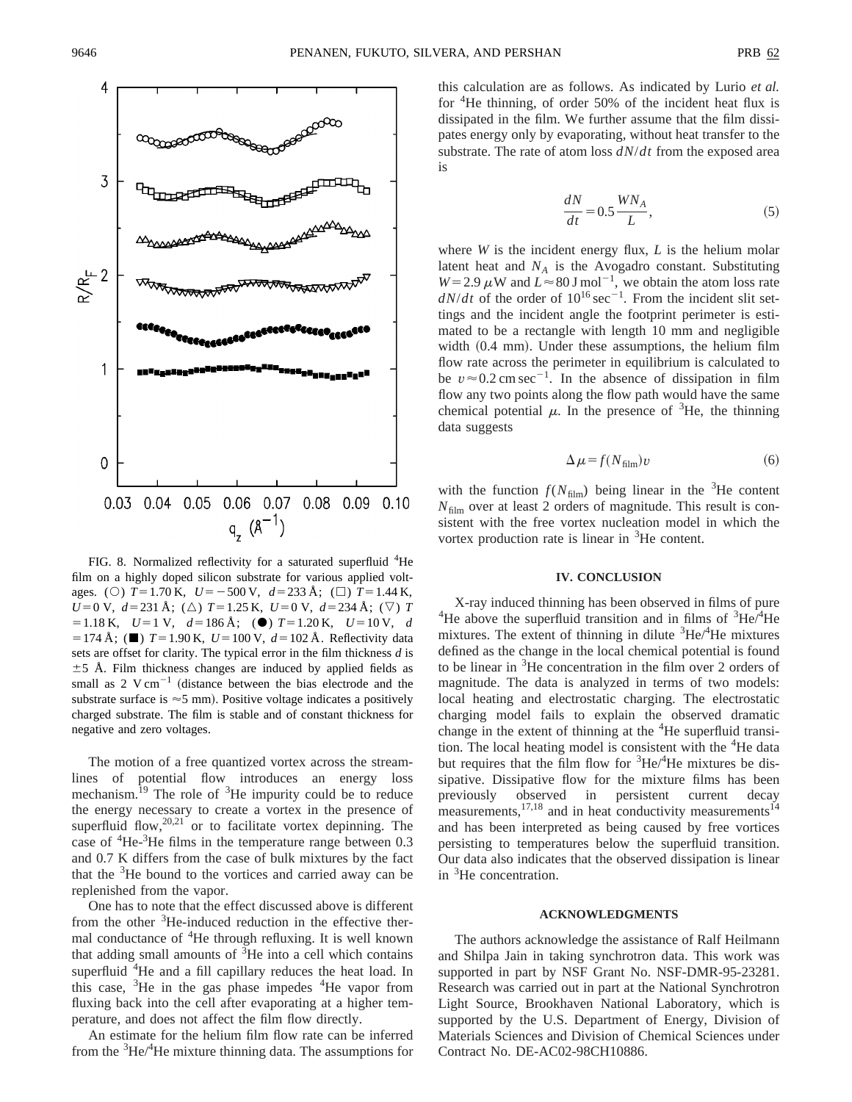

FIG. 8. Normalized reflectivity for a saturated superfluid <sup>4</sup>He film on a highly doped silicon substrate for various applied voltages. (O)  $T=1.70$  K,  $U=-500$  V,  $d=233$  Å; ( $\square$ )  $T=1.44$  K,  $U=0$  V,  $d=231$  Å; ( $\triangle$ )  $T=1.25$  K,  $U=0$  V,  $d=234$  Å; ( $\triangledown$ ) *T*  $=1.18$  K,  $U=1$  V,  $d=186$  Å; ( $\bullet$ )  $T=1.20$  K,  $U=10$  V, *d*  $= 174 \text{ Å}$ ; ( $\blacksquare$ )  $T = 1.90 \text{ K}$ ,  $U = 100 \text{ V}$ ,  $d = 102 \text{ Å}$ . Reflectivity data sets are offset for clarity. The typical error in the film thickness *d* is  $\pm$ 5 Å. Film thickness changes are induced by applied fields as small as  $2 \text{ V cm}^{-1}$  (distance between the bias electrode and the substrate surface is  $\approx$  5 mm). Positive voltage indicates a positively charged substrate. The film is stable and of constant thickness for negative and zero voltages.

The motion of a free quantized vortex across the streamlines of potential flow introduces an energy loss mechanism.<sup>19</sup> The role of <sup>3</sup>He impurity could be to reduce the energy necessary to create a vortex in the presence of superfluid flow, $^{20,21}$  or to facilitate vortex depinning. The case of <sup>4</sup>He-<sup>3</sup>He films in the temperature range between 0.3 and 0.7 K differs from the case of bulk mixtures by the fact that the  ${}^{3}$ He bound to the vortices and carried away can be replenished from the vapor.

One has to note that the effect discussed above is different from the other  $3$ He-induced reduction in the effective thermal conductance of <sup>4</sup>He through refluxing. It is well known that adding small amounts of  ${}^{3}$ He into a cell which contains superfluid <sup>4</sup>He and a fill capillary reduces the heat load. In this case,  ${}^{3}$ He in the gas phase impedes  ${}^{4}$ He vapor from fluxing back into the cell after evaporating at a higher temperature, and does not affect the film flow directly.

An estimate for the helium film flow rate can be inferred from the  ${}^{3}$ He/ ${}^{4}$ He mixture thinning data. The assumptions for this calculation are as follows. As indicated by Lurio *et al.* for <sup>4</sup> He thinning, of order 50% of the incident heat flux is dissipated in the film. We further assume that the film dissipates energy only by evaporating, without heat transfer to the substrate. The rate of atom loss *dN*/*dt* from the exposed area is

$$
\frac{dN}{dt} = 0.5 \frac{WN_A}{L},\tag{5}
$$

where *W* is the incident energy flux, *L* is the helium molar latent heat and  $N_A$  is the Avogadro constant. Substituting  $W = 2.9 \mu W$  and  $L \approx 80 \text{ J mol}^{-1}$ , we obtain the atom loss rate  $dN/dt$  of the order of  $10^{16}$  sec<sup>-1</sup>. From the incident slit settings and the incident angle the footprint perimeter is estimated to be a rectangle with length 10 mm and negligible width (0.4 mm). Under these assumptions, the helium film flow rate across the perimeter in equilibrium is calculated to be  $v \approx 0.2 \text{ cm sec}^{-1}$ . In the absence of dissipation in film flow any two points along the flow path would have the same chemical potential  $\mu$ . In the presence of <sup>3</sup>He, the thinning data suggests

$$
\Delta \mu = f(N_{\text{film}})v \tag{6}
$$

with the function  $f(N_{\text{film}})$  being linear in the <sup>3</sup>He content  $N<sub>film</sub>$  over at least 2 orders of magnitude. This result is consistent with the free vortex nucleation model in which the vortex production rate is linear in  ${}^{3}$ He content.

#### **IV. CONCLUSION**

X-ray induced thinning has been observed in films of pure <sup>4</sup>He above the superfluid transition and in films of  ${}^{3}$ He/<sup>4</sup>He mixtures. The extent of thinning in dilute  ${}^{3}$ He/ ${}^{4}$ He mixtures defined as the change in the local chemical potential is found to be linear in  ${}^{3}$ He concentration in the film over 2 orders of magnitude. The data is analyzed in terms of two models: local heating and electrostatic charging. The electrostatic charging model fails to explain the observed dramatic change in the extent of thinning at the <sup>4</sup>He superfluid transition. The local heating model is consistent with the <sup>4</sup>He data but requires that the film flow for  ${}^{3}$ He/ ${}^{4}$ He mixtures be dissipative. Dissipative flow for the mixture films has been previously observed in persistent current decay measurements, $17,18$  and in heat conductivity measurements<sup>14</sup> and has been interpreted as being caused by free vortices persisting to temperatures below the superfluid transition. Our data also indicates that the observed dissipation is linear in <sup>3</sup>He concentration.

#### **ACKNOWLEDGMENTS**

The authors acknowledge the assistance of Ralf Heilmann and Shilpa Jain in taking synchrotron data. This work was supported in part by NSF Grant No. NSF-DMR-95-23281. Research was carried out in part at the National Synchrotron Light Source, Brookhaven National Laboratory, which is supported by the U.S. Department of Energy, Division of Materials Sciences and Division of Chemical Sciences under Contract No. DE-AC02-98CH10886.